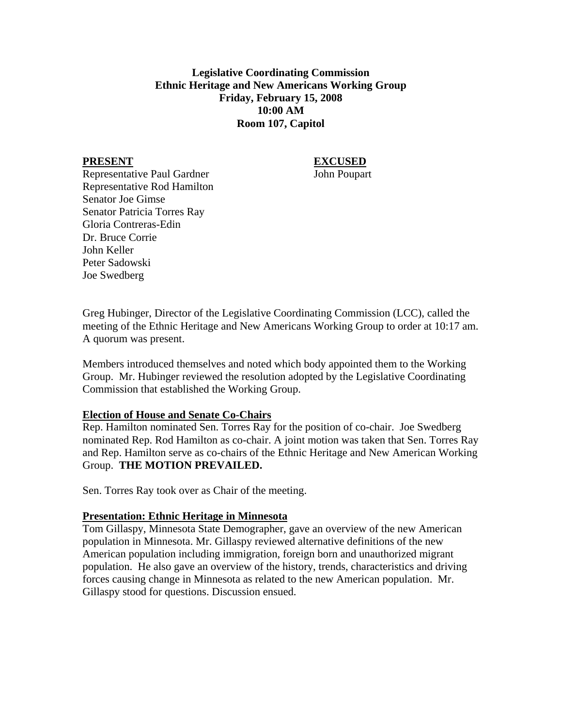**Legislative Coordinating Commission Ethnic Heritage and New Americans Working Group Friday, February 15, 2008 10:00 AM Room 107, Capitol** 

### PRESENT EXCUSED

Representative Paul Gardner **John Poupart** Representative Rod Hamilton Senator Joe Gimse Senator Patricia Torres Ray Gloria Contreras-Edin Dr. Bruce Corrie John Keller Peter Sadowski Joe Swedberg

Greg Hubinger, Director of the Legislative Coordinating Commission (LCC), called the meeting of the Ethnic Heritage and New Americans Working Group to order at 10:17 am. A quorum was present.

Members introduced themselves and noted which body appointed them to the Working Group. Mr. Hubinger reviewed the resolution adopted by the Legislative Coordinating Commission that established the Working Group.

#### **Election of House and Senate Co-Chairs**

Rep. Hamilton nominated Sen. Torres Ray for the position of co-chair. Joe Swedberg nominated Rep. Rod Hamilton as co-chair. A joint motion was taken that Sen. Torres Ray and Rep. Hamilton serve as co-chairs of the Ethnic Heritage and New American Working Group. **THE MOTION PREVAILED.** 

Sen. Torres Ray took over as Chair of the meeting.

## **Presentation: Ethnic Heritage in Minnesota**

Tom Gillaspy, Minnesota State Demographer, gave an overview of the new American population in Minnesota. Mr. Gillaspy reviewed alternative definitions of the new American population including immigration, foreign born and unauthorized migrant population. He also gave an overview of the history, trends, characteristics and driving forces causing change in Minnesota as related to the new American population. Mr. Gillaspy stood for questions. Discussion ensued.